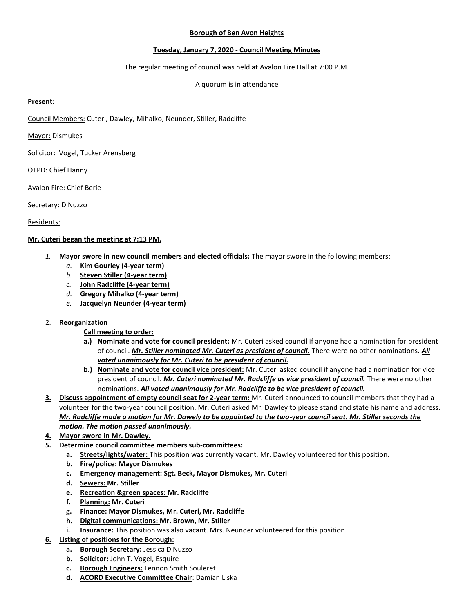# **Borough of Ben Avon Heights**

# **Tuesday, January 7, 2020 - Council Meeting Minutes**

The regular meeting of council was held at Avalon Fire Hall at 7:00 P.M.

# A quorum is in attendance

## **Present:**

Council Members: Cuteri, Dawley, Mihalko, Neunder, Stiller, Radcliffe

Mayor: Dismukes

Solicitor: Vogel, Tucker Arensberg

**OTPD: Chief Hanny** 

Avalon Fire: Chief Berie

Secretary: DiNuzzo

Residents:

#### **Mr. Cuteri began the meeting at 7:13 PM.**

- *1.* **Mayor swore in new council members and elected officials:** The mayor swore in the following members:
	- *a.* **Kim Gourley (4-year term)**
	- *b.* **Steven Stiller (4-year term)**
	- *c.* **John Radcliffe (4-year term)**
	- *d.* **Gregory Mihalko (4-year term)**
	- *e.* **Jacquelyn Neunder (4-year term)**

# 2. **Reorganization**

- **Call meeting to order:**
- **a.) Nominate and vote for council president:** Mr. Cuteri asked council if anyone had a nomination for president of council. *Mr. Stiller nominated Mr. Cuteri as president of council.* There were no other nominations. *All voted unanimously for Mr. Cuteri to be president of council.*
- **b.) Nominate and vote for council vice president:** Mr. Cuteri asked council if anyone had a nomination for vice president of council. *Mr. Cuteri nominated Mr. Radcliffe as vice president of council.* There were no other nominations. *All voted unanimously for Mr. Radcliffe to be vice president of council.*
- **3. Discuss appointment of empty council seat for 2-year term:** Mr. Cuteri announced to council members that they had a volunteer for the two-year council position. Mr. Cuteri asked Mr. Dawley to please stand and state his name and address. *Mr. Radcliffe made a motion for Mr. Dawely to be appointed to the two-year council seat. Mr. Stiller seconds the motion. The motion passed unanimously.*
- **4. Mayor swore in Mr. Dawley.**
- **5. Determine council committee members sub-committees:**
	- **a. Streets/lights/water:** This position was currently vacant. Mr. Dawley volunteered for this position.
	- **b. Fire/police: Mayor Dismukes**
	- **c. Emergency management: Sgt. Beck, Mayor Dismukes, Mr. Cuteri**
	- **d. Sewers: Mr. Stiller**
	- **e. Recreation &green spaces: Mr. Radcliffe**
	- **f. Planning: Mr. Cuteri**
	- **g. Finance: Mayor Dismukes, Mr. Cuteri, Mr. Radcliffe**
	- **h. Digital communications: Mr. Brown, Mr. Stiller**
	- **i. Insurance:** This position was also vacant. Mrs. Neunder volunteered for this position.
- **6. Listing of positions for the Borough:**
	- **a. Borough Secretary:** Jessica DiNuzzo
	- **b. Solicitor:** John T. Vogel, Esquire
	- **c. Borough Engineers:** Lennon Smith Souleret
	- **d. ACORD Executive Committee Chair**: Damian Liska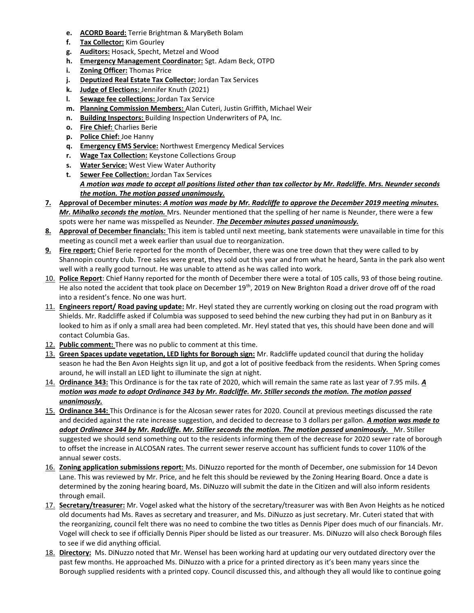- **e. ACORD Board:** Terrie Brightman & MaryBeth Bolam
- **f. Tax Collector:** Kim Gourley
- **g. Auditors:** Hosack, Specht, Metzel and Wood
- **h. Emergency Management Coordinator:** Sgt. Adam Beck, OTPD
- **i. Zoning Officer:** Thomas Price
- **j. Deputized Real Estate Tax Collector:** Jordan Tax Services
- **k. Judge of Elections:** Jennifer Knuth (2021)
- **l. Sewage fee collections:** Jordan Tax Service
- **m. Planning Commission Members:** Alan Cuteri, Justin Griffith, Michael Weir
- **n. Building Inspectors:** Building Inspection Underwriters of PA, Inc.
- **o. Fire Chief:** Charlies Berie
- **p. Police Chief:** Joe Hanny
- **q. Emergency EMS Service:** Northwest Emergency Medical Services
- **r. Wage Tax Collection:** Keystone Collections Group
- **s. Water Service:** West View Water Authority
- **t. Sewer Fee Collection:** Jordan Tax Services *A motion was made to accept all positions listed other than tax collector by Mr. Radcliffe. Mrs. Neunder seconds the motion. The motion passed unanimously.*
- **7. Approval of December minutes:** *A motion was made by Mr. Radcliffe to approve the December 2019 meeting minutes. Mr. Mihalko seconds the motion.* Mrs. Neunder mentioned that the spelling of her name is Neunder, there were a few spots were her name was misspelled as Neunder. *The December minutes passed unanimously.*
- **8. Approval of December financials:** This item is tabled until next meeting, bank statements were unavailable in time for this meeting as council met a week earlier than usual due to reorganization.
- **9. Fire report:** Chief Berie reported for the month of December, there was one tree down that they were called to by Shannopin country club. Tree sales were great, they sold out this year and from what he heard, Santa in the park also went well with a really good turnout. He was unable to attend as he was called into work.
- 10. **Police Report**: Chief Hanny reported for the month of December there were a total of 105 calls, 93 of those being routine. He also noted the accident that took place on December 19<sup>th</sup>, 2019 on New Brighton Road a driver drove off of the road into a resident's fence. No one was hurt.
- 11. **Engineers report/ Road paving update:** Mr. Heyl stated they are currently working on closing out the road program with Shields. Mr. Radcliffe asked if Columbia was supposed to seed behind the new curbing they had put in on Banbury as it looked to him as if only a small area had been completed. Mr. Heyl stated that yes, this should have been done and will contact Columbia Gas.
- 12. **Public comment:** There was no public to comment at this time.
- 13. **Green Spaces update vegetation, LED lights for Borough sign:** Mr. Radcliffe updated council that during the holiday season he had the Ben Avon Heights sign lit up, and got a lot of positive feedback from the residents. When Spring comes around, he will install an LED light to illuminate the sign at night.
- 14. **Ordinance 343:** This Ordinance is for the tax rate of 2020, which will remain the same rate as last year of 7.95 mils. *A motion was made to adopt Ordinance 343 by Mr. Radcliffe. Mr. Stiller seconds the motion. The motion passed unanimously.*
- 15. **Ordinance 344:** This Ordinance is for the Alcosan sewer rates for 2020. Council at previous meetings discussed the rate and decided against the rate increase suggestion, and decided to decrease to 3 dollars per gallon. *A motion was made to adopt Ordinance 344 by Mr. Radcliffe. Mr. Stiller seconds the motion. The motion passed unanimously.* Mr. Stiller suggested we should send something out to the residents informing them of the decrease for 2020 sewer rate of borough to offset the increase in ALCOSAN rates. The current sewer reserve account has sufficient funds to cover 110% of the annual sewer costs.
- 16. **Zoning application submissions report:** Ms. DiNuzzo reported for the month of December, one submission for 14 Devon Lane. This was reviewed by Mr. Price, and he felt this should be reviewed by the Zoning Hearing Board. Once a date is determined by the zoning hearing board, Ms. DiNuzzo will submit the date in the Citizen and will also inform residents through email.
- 17. **Secretary/treasurer:** Mr. Vogel asked what the history of the secretary/treasurer was with Ben Avon Heights as he noticed old documents had Ms. Raves as secretary and treasurer, and Ms. DiNuzzo as just secretary. Mr. Cuteri stated that with the reorganizing, council felt there was no need to combine the two titles as Dennis Piper does much of our financials. Mr. Vogel will check to see if officially Dennis Piper should be listed as our treasurer. Ms. DiNuzzo will also check Borough files to see if we did anything official.
- 18. **Directory:** Ms. DiNuzzo noted that Mr. Wensel has been working hard at updating our very outdated directory over the past few months. He approached Ms. DiNuzzo with a price for a printed directory as it's been many years since the Borough supplied residents with a printed copy. Council discussed this, and although they all would like to continue going